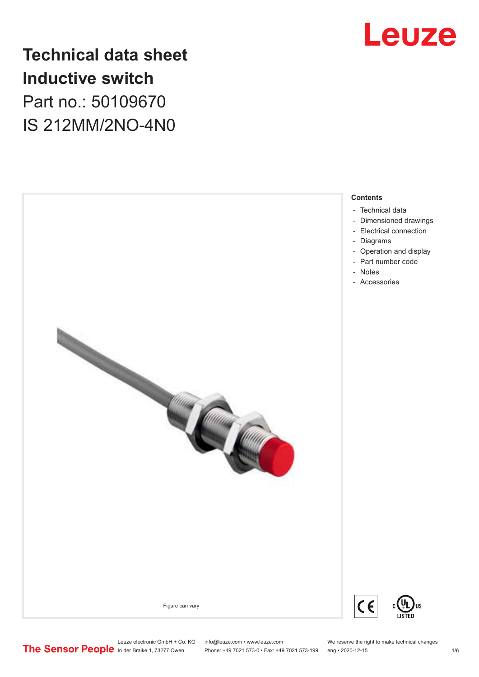

## **Technical data sheet Inductive switch** Part no.: 50109670 IS 212MM/2NO-4N0



Leuze electronic GmbH + Co. KG info@leuze.com • www.leuze.com We reserve the right to make technical changes<br>
The Sensor People in der Braike 1, 73277 Owen Phone: +49 7021 573-0 • Fax: +49 7021 573-199 eng • 2020-12-15

Phone: +49 7021 573-0 • Fax: +49 7021 573-199 eng • 2020-12-15 1 76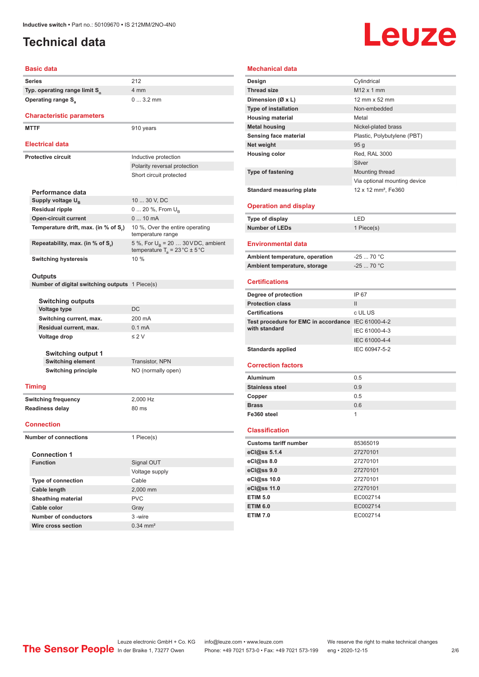## <span id="page-1-0"></span>**Technical data**

# Leuze

#### **Basic data**

| Series                                         | 212                                                                                      |  |
|------------------------------------------------|------------------------------------------------------------------------------------------|--|
| Typ. operating range limit S <sub>n</sub>      | 4 mm                                                                                     |  |
| Operating range S <sub>a</sub>                 | $03.2$ mm                                                                                |  |
|                                                |                                                                                          |  |
| <b>Characteristic parameters</b>               |                                                                                          |  |
| <b>MTTF</b>                                    | 910 years                                                                                |  |
|                                                |                                                                                          |  |
| Electrical data                                |                                                                                          |  |
| <b>Protective circuit</b>                      | Inductive protection                                                                     |  |
|                                                | Polarity reversal protection                                                             |  |
|                                                | Short circuit protected                                                                  |  |
|                                                |                                                                                          |  |
| Performance data                               |                                                                                          |  |
| Supply voltage U <sub>B</sub>                  | 10  30 V, DC                                                                             |  |
| <b>Residual ripple</b>                         | 0  20 %, From $U_{\rm B}$                                                                |  |
| <b>Open-circuit current</b>                    | $010$ mA                                                                                 |  |
| Temperature drift, max. (in % of S,)           | 10 %, Over the entire operating<br>temperature range                                     |  |
| Repeatability, max. (in % of S,)               | 5 %, For $U_R$ = 20  30 VDC, ambient<br>temperature $T_a = 23 \degree C \pm 5 \degree C$ |  |
| <b>Switching hysteresis</b>                    | 10%                                                                                      |  |
|                                                |                                                                                          |  |
| Outputs                                        |                                                                                          |  |
| Number of digital switching outputs 1 Piece(s) |                                                                                          |  |
| <b>Switching outputs</b>                       |                                                                                          |  |
| Voltage type                                   | DC                                                                                       |  |
| Switching current, max.                        | 200 mA                                                                                   |  |
| Residual current, max.                         | 0.1 <sub>m</sub> A                                                                       |  |
| Voltage drop                                   | $\leq$ 2 V                                                                               |  |
|                                                |                                                                                          |  |
| <b>Switching output 1</b>                      |                                                                                          |  |
| <b>Switching element</b>                       | Transistor, NPN                                                                          |  |
| <b>Switching principle</b>                     | NO (normally open)                                                                       |  |
|                                                |                                                                                          |  |
| <b>Timing</b>                                  |                                                                                          |  |
| <b>Switching frequency</b>                     | 2,000 Hz                                                                                 |  |
| <b>Readiness delay</b>                         | 80 ms                                                                                    |  |
| <b>Connection</b>                              |                                                                                          |  |
|                                                |                                                                                          |  |
|                                                |                                                                                          |  |
| <b>Number of connections</b>                   | 1 Piece(s)                                                                               |  |
| <b>Connection 1</b>                            |                                                                                          |  |
| <b>Function</b>                                | Signal OUT                                                                               |  |
|                                                | Voltage supply                                                                           |  |
| Type of connection                             | Cable                                                                                    |  |
| Cable length                                   | 2,000 mm                                                                                 |  |
| <b>Sheathing material</b>                      | <b>PVC</b>                                                                               |  |

| <b>Mechanical data</b>                             |                                 |
|----------------------------------------------------|---------------------------------|
| Design                                             | Cylindrical                     |
| <b>Thread size</b>                                 | $M12 \times 1$ mm               |
| Dimension (Ø x L)                                  | 12 mm x 52 mm                   |
| <b>Type of installation</b>                        | Non-embedded                    |
| <b>Housing material</b>                            | Metal                           |
| <b>Metal housing</b>                               | Nickel-plated brass             |
| Sensing face material                              | Plastic, Polybutylene (PBT)     |
| Net weight                                         | 95 <sub>g</sub>                 |
| <b>Housing color</b>                               | Red, RAL 3000                   |
|                                                    | Silver                          |
| <b>Type of fastening</b>                           | Mounting thread                 |
|                                                    | Via optional mounting device    |
| <b>Standard measuring plate</b>                    | 12 x 12 mm <sup>2</sup> , Fe360 |
|                                                    |                                 |
| <b>Operation and display</b>                       |                                 |
| <b>Type of display</b>                             | LED                             |
| <b>Number of LEDs</b>                              | 1 Piece(s)                      |
| <b>Environmental data</b>                          |                                 |
| Ambient temperature, operation                     | $-2570 °C$                      |
| Ambient temperature, storage                       | $-2570 °C$                      |
| <b>Certifications</b>                              |                                 |
| Degree of protection                               | IP 67                           |
| <b>Protection class</b>                            | $\mathbf{II}$                   |
| <b>Certifications</b>                              | c UL US                         |
| Test procedure for EMC in accordance IEC 61000-4-2 |                                 |
| with standard                                      | IEC 61000-4-3                   |
|                                                    | IEC 61000-4-4                   |
| <b>Standards applied</b>                           | IEC 60947-5-2                   |
|                                                    |                                 |
| <b>Correction factors</b>                          |                                 |
| Aluminum                                           | 0.5                             |
| <b>Stainless steel</b>                             | 0.9                             |
| Copper                                             | 0.5                             |
| <b>Brass</b>                                       | 0.6                             |
| Fe360 steel                                        | 1                               |
| <b>Classification</b>                              |                                 |
| <b>Customs tariff number</b>                       | 85365019                        |
| eCl@ss 5.1.4                                       | 27270101                        |
| eCl@ss 8.0                                         | 27270101                        |
| eCl@ss 9.0                                         | 27270101                        |
| eCl@ss 10.0                                        | 27270101                        |
| eCl@ss 11.0                                        | 27270101                        |
| <b>ETIM 5.0</b>                                    | EC002714                        |
| <b>ETIM 6.0</b>                                    | EC002714                        |
|                                                    |                                 |

**ETIM 7.0** EC002714

**Number of conductors** 3 -wire **Wire cross section** 0.34 mm<sup>2</sup>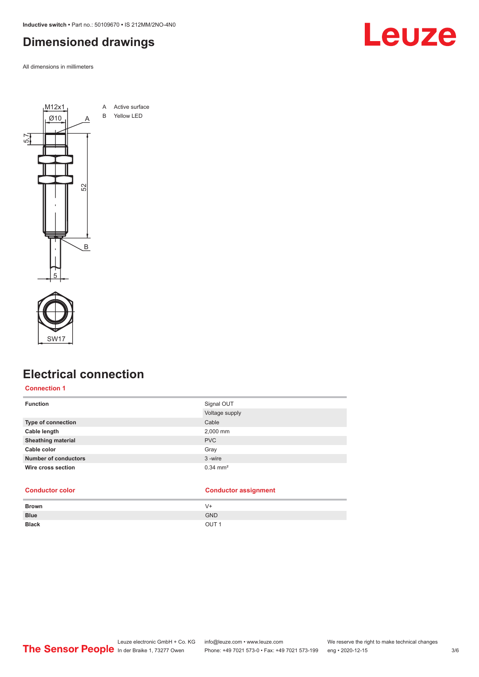<span id="page-2-0"></span>**Inductive switch •** Part no.: 50109670 **•** IS 212MM/2NO-4N0

## **Dimensioned drawings**

All dimensions in millimeters





## **Electrical connection**

#### **Connection 1**

| <b>Function</b>             | Signal OUT            |
|-----------------------------|-----------------------|
|                             | Voltage supply        |
| <b>Type of connection</b>   | Cable                 |
| Cable length                | 2,000 mm              |
| <b>Sheathing material</b>   | <b>PVC</b>            |
| Cable color                 | Gray                  |
| <b>Number of conductors</b> | 3-wire                |
| Wire cross section          | $0.34 \, \text{mm}^2$ |

|              | $\sim$           |
|--------------|------------------|
| Brown        | $V +$            |
| <b>Blue</b>  | <b>GND</b>       |
| <b>Black</b> | OUT <sub>1</sub> |
|              |                  |

**Conductor color Conductor assignment**

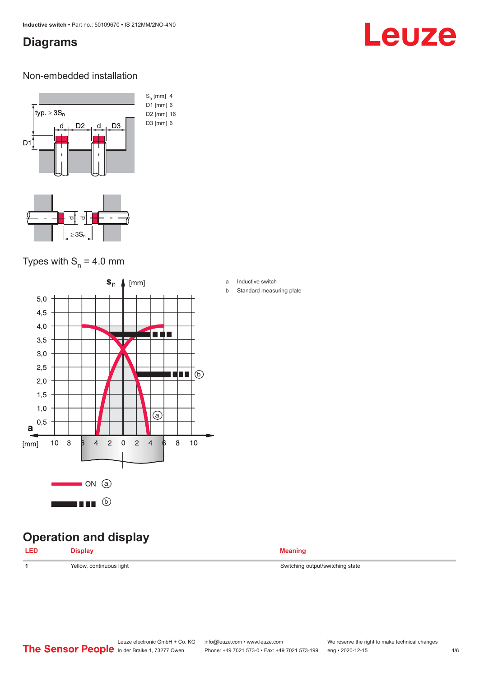## <span id="page-3-0"></span>**Diagrams**

# Leuze

#### Non-embedded installation



## Types with  $S_n = 4.0$  mm



## **Operation and display**

| LED | <b>Display</b>           | <b>Meaning</b>                   |
|-----|--------------------------|----------------------------------|
|     | Yellow, continuous light | Switching output/switching state |

a Inductive switch

b Standard measuring plate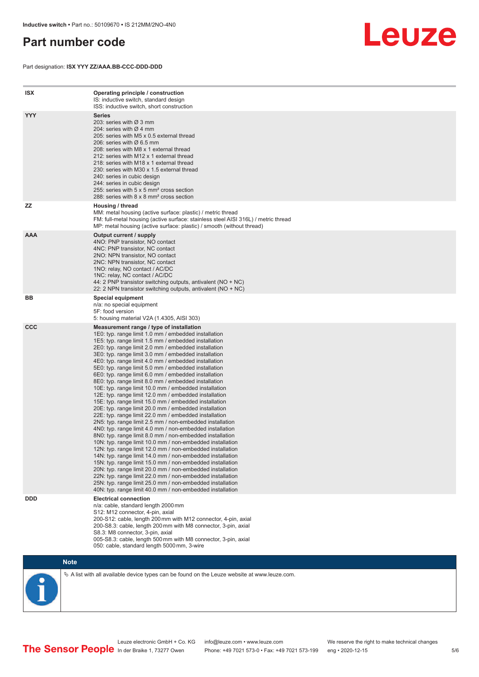## <span id="page-4-0"></span>**Part number code**

Part designation: **ISX YYY ZZ/AAA.BB-CCC-DDD-DDD**



| <b>ISX</b> | Operating principle / construction<br>IS: inductive switch, standard design<br>ISS: inductive switch, short construction                                                                                                                                                                                                                                                                                                                                                                                                                                                                                                                                                                                                                                                                                                                                                                                                                                                                                                                                                                                                                                                                                                                                                                                                                                                                                                                                                                          |
|------------|---------------------------------------------------------------------------------------------------------------------------------------------------------------------------------------------------------------------------------------------------------------------------------------------------------------------------------------------------------------------------------------------------------------------------------------------------------------------------------------------------------------------------------------------------------------------------------------------------------------------------------------------------------------------------------------------------------------------------------------------------------------------------------------------------------------------------------------------------------------------------------------------------------------------------------------------------------------------------------------------------------------------------------------------------------------------------------------------------------------------------------------------------------------------------------------------------------------------------------------------------------------------------------------------------------------------------------------------------------------------------------------------------------------------------------------------------------------------------------------------------|
| <b>YYY</b> | <b>Series</b><br>203: series with Ø 3 mm<br>204: series with $\varnothing$ 4 mm<br>205: series with M5 x 0.5 external thread<br>206: series with $\varnothing$ 6.5 mm<br>208: series with M8 x 1 external thread<br>212: series with M12 x 1 external thread<br>218: series with M18 x 1 external thread<br>230: series with M30 x 1.5 external thread<br>240: series in cubic design<br>244: series in cubic design<br>255: series with 5 x 5 mm <sup>2</sup> cross section<br>288: series with 8 x 8 mm <sup>2</sup> cross section                                                                                                                                                                                                                                                                                                                                                                                                                                                                                                                                                                                                                                                                                                                                                                                                                                                                                                                                                              |
| ZZ         | Housing / thread<br>MM: metal housing (active surface: plastic) / metric thread<br>FM: full-metal housing (active surface: stainless steel AISI 316L) / metric thread<br>MP: metal housing (active surface: plastic) / smooth (without thread)                                                                                                                                                                                                                                                                                                                                                                                                                                                                                                                                                                                                                                                                                                                                                                                                                                                                                                                                                                                                                                                                                                                                                                                                                                                    |
| <b>AAA</b> | Output current / supply<br>4NO: PNP transistor, NO contact<br>4NC: PNP transistor, NC contact<br>2NO: NPN transistor, NO contact<br>2NC: NPN transistor, NC contact<br>1NO: relay, NO contact / AC/DC<br>1NC: relay, NC contact / AC/DC<br>44: 2 PNP transistor switching outputs, antivalent (NO + NC)<br>22: 2 NPN transistor switching outputs, antivalent (NO + NC)                                                                                                                                                                                                                                                                                                                                                                                                                                                                                                                                                                                                                                                                                                                                                                                                                                                                                                                                                                                                                                                                                                                           |
| BB         | <b>Special equipment</b><br>n/a: no special equipment<br>5F: food version<br>5: housing material V2A (1.4305, AISI 303)                                                                                                                                                                                                                                                                                                                                                                                                                                                                                                                                                                                                                                                                                                                                                                                                                                                                                                                                                                                                                                                                                                                                                                                                                                                                                                                                                                           |
| <b>CCC</b> | Measurement range / type of installation<br>1E0: typ. range limit 1.0 mm / embedded installation<br>1E5: typ. range limit 1.5 mm / embedded installation<br>2E0: typ. range limit 2.0 mm / embedded installation<br>3E0: typ. range limit 3.0 mm / embedded installation<br>4E0: typ. range limit 4.0 mm / embedded installation<br>5E0: typ. range limit 5.0 mm / embedded installation<br>6E0: typ. range limit 6.0 mm / embedded installation<br>8E0: typ. range limit 8.0 mm / embedded installation<br>10E: typ. range limit 10.0 mm / embedded installation<br>12E: typ. range limit 12.0 mm / embedded installation<br>15E: typ. range limit 15.0 mm / embedded installation<br>20E: typ. range limit 20.0 mm / embedded installation<br>22E: typ. range limit 22.0 mm / embedded installation<br>2N5: typ. range limit 2.5 mm / non-embedded installation<br>4N0: typ. range limit 4.0 mm / non-embedded installation<br>8N0: typ. range limit 8.0 mm / non-embedded installation<br>10N: typ. range limit 10.0 mm / non-embedded installation<br>12N: typ. range limit 12.0 mm / non-embedded installation<br>14N: typ. range limit 14.0 mm / non-embedded installation<br>15N: typ. range limit 15.0 mm / non-embedded installation<br>20N: typ. range limit 20.0 mm / non-embedded installation<br>22N: typ. range limit 22.0 mm / non-embedded installation<br>25N: typ. range limit 25.0 mm / non-embedded installation<br>40N: typ. range limit 40.0 mm / non-embedded installation |
| <b>DDD</b> | <b>Electrical connection</b><br>n/a: cable, standard length 2000 mm<br>S12: M12 connector, 4-pin, axial<br>200-S12: cable, length 200 mm with M12 connector, 4-pin, axial<br>200-S8.3: cable, length 200 mm with M8 connector, 3-pin, axial<br>S8.3: M8 connector, 3-pin, axial<br>005-S8.3: cable, length 500 mm with M8 connector, 3-pin, axial<br>050: cable, standard length 5000 mm, 3-wire                                                                                                                                                                                                                                                                                                                                                                                                                                                                                                                                                                                                                                                                                                                                                                                                                                                                                                                                                                                                                                                                                                  |

**Note**

 $\%$  A list with all available device types can be found on the Leuze website at www.leuze.com.

In der Braike 1, 73277 Owen Phone: +49 7021 573-0 • Fax: +49 7021 573-199 eng • 2020-12-15

Leuze electronic GmbH + Co. KG info@leuze.com • www.leuze.com We reserve the right to make technical changes